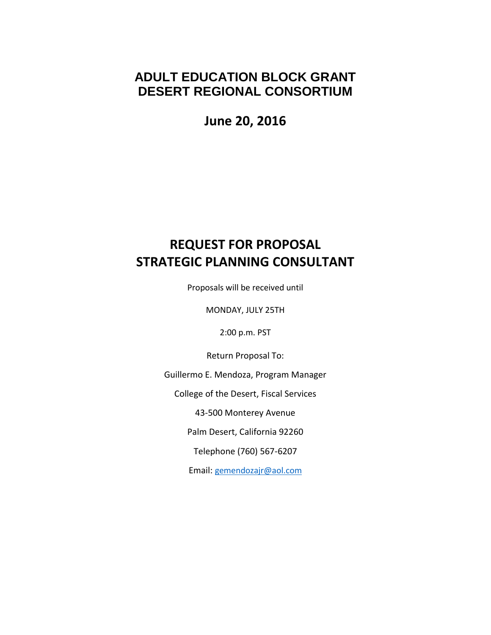## **ADULT EDUCATION BLOCK GRANT DESERT REGIONAL CONSORTIUM**

**June 20, 2016**

# **REQUEST FOR PROPOSAL STRATEGIC PLANNING CONSULTANT**

Proposals will be received until

MONDAY, JULY 25TH

2:00 p.m. PST

Return Proposal To:

Guillermo E. Mendoza, Program Manager

College of the Desert, Fiscal Services

43-500 Monterey Avenue

Palm Desert, California 92260

Telephone (760) 567-6207

Email: [gemendozajr@aol.com](mailto:gemendozajr@aol.com)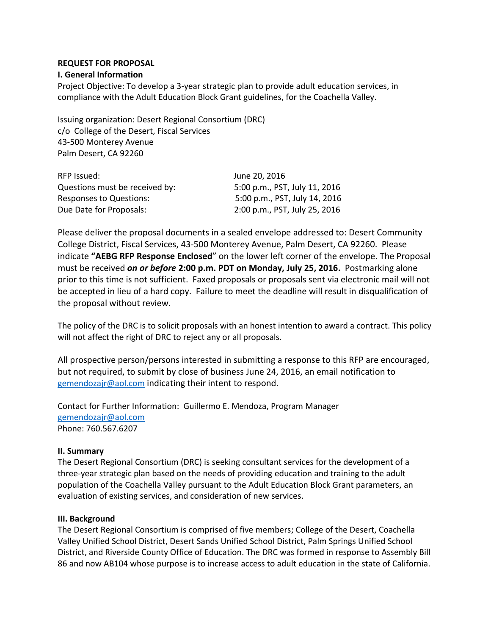## **REQUEST FOR PROPOSAL**

## **I. General Information**

Project Objective: To develop a 3-year strategic plan to provide adult education services, in compliance with the Adult Education Block Grant guidelines, for the Coachella Valley.

Issuing organization: Desert Regional Consortium (DRC) c/o College of the Desert, Fiscal Services 43-500 Monterey Avenue Palm Desert, CA 92260

| RFP Issued:                    | June 20, 2016                 |
|--------------------------------|-------------------------------|
| Questions must be received by: | 5:00 p.m., PST, July 11, 2016 |
| <b>Responses to Questions:</b> | 5:00 p.m., PST, July 14, 2016 |
| Due Date for Proposals:        | 2:00 p.m., PST, July 25, 2016 |

Please deliver the proposal documents in a sealed envelope addressed to: Desert Community College District, Fiscal Services, 43-500 Monterey Avenue, Palm Desert, CA 92260. Please indicate **"AEBG RFP Response Enclosed**" on the lower left corner of the envelope. The Proposal must be received *on or before* **2:00 p.m. PDT on Monday, July 25, 2016.** Postmarking alone prior to this time is not sufficient. Faxed proposals or proposals sent via electronic mail will not be accepted in lieu of a hard copy. Failure to meet the deadline will result in disqualification of the proposal without review.

The policy of the DRC is to solicit proposals with an honest intention to award a contract. This policy will not affect the right of DRC to reject any or all proposals.

All prospective person/persons interested in submitting a response to this RFP are encouraged, but not required, to submit by close of business June 24, 2016, an email notification to [gemendozajr@aol.com](mailto:gemendozajr@aol.com) indicating their intent to respond.

Contact for Further Information: Guillermo E. Mendoza, Program Manager [gemendozajr@aol.com](mailto:gemendozajr@aol.com) Phone: 760.567.6207

#### **II. Summary**

The Desert Regional Consortium (DRC) is seeking consultant services for the development of a three-year strategic plan based on the needs of providing education and training to the adult population of the Coachella Valley pursuant to the Adult Education Block Grant parameters, an evaluation of existing services, and consideration of new services.

#### **III. Background**

The Desert Regional Consortium is comprised of five members; College of the Desert, Coachella Valley Unified School District, Desert Sands Unified School District, Palm Springs Unified School District, and Riverside County Office of Education. The DRC was formed in response to Assembly Bill 86 and now AB104 whose purpose is to increase access to adult education in the state of California.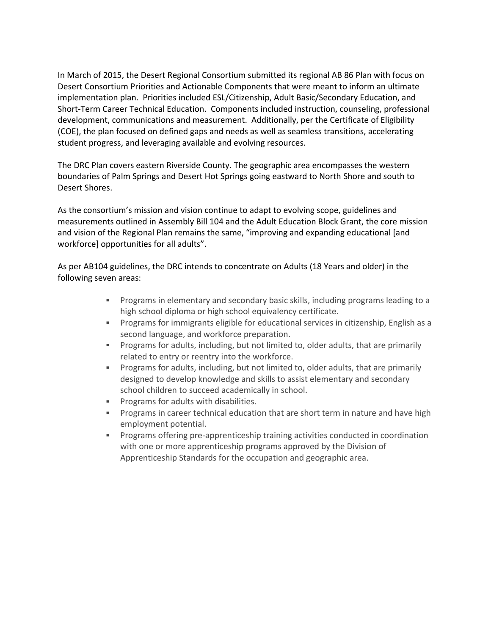In March of 2015, the Desert Regional Consortium submitted its regional AB 86 Plan with focus on Desert Consortium Priorities and Actionable Components that were meant to inform an ultimate implementation plan. Priorities included ESL/Citizenship, Adult Basic/Secondary Education, and Short-Term Career Technical Education. Components included instruction, counseling, professional development, communications and measurement. Additionally, per the Certificate of Eligibility (COE), the plan focused on defined gaps and needs as well as seamless transitions, accelerating student progress, and leveraging available and evolving resources.

The DRC Plan covers eastern Riverside County. The geographic area encompasses the western boundaries of Palm Springs and Desert Hot Springs going eastward to North Shore and south to Desert Shores.

As the consortium's mission and vision continue to adapt to evolving scope, guidelines and measurements outlined in Assembly Bill 104 and the Adult Education Block Grant, the core mission and vision of the Regional Plan remains the same, "improving and expanding educational [and workforce] opportunities for all adults".

As per AB104 guidelines, the DRC intends to concentrate on Adults (18 Years and older) in the following seven areas:

- Programs in elementary and secondary basic skills, including programs leading to a high school diploma or high school equivalency certificate.
- Programs for immigrants eligible for educational services in citizenship, English as a second language, and workforce preparation.
- Programs for adults, including, but not limited to, older adults, that are primarily related to entry or reentry into the workforce.
- Programs for adults, including, but not limited to, older adults, that are primarily designed to develop knowledge and skills to assist elementary and secondary school children to succeed academically in school.
- **Programs for adults with disabilities.**
- **Programs in career technical education that are short term in nature and have high** employment potential.
- **Programs offering pre-apprenticeship training activities conducted in coordination** with one or more apprenticeship programs approved by the Division of Apprenticeship Standards for the occupation and geographic area.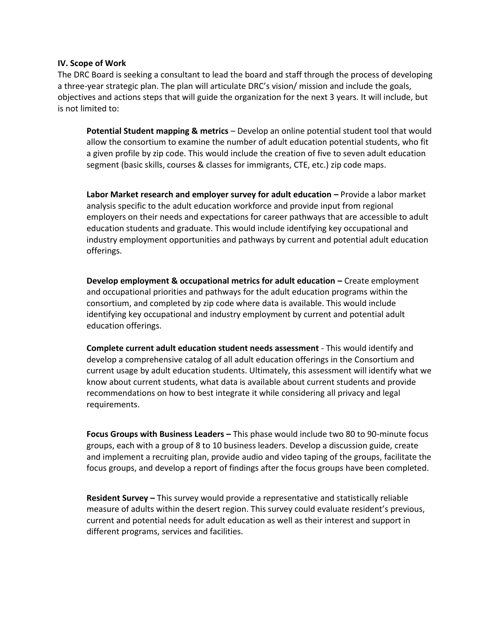#### **IV. Scope of Work**

The DRC Board is seeking a consultant to lead the board and staff through the process of developing a three-year strategic plan. The plan will articulate DRC's vision/ mission and include the goals, objectives and actions steps that will guide the organization for the next 3 years. It will include, but is not limited to:

**Potential Student mapping & metrics** – Develop an online potential student tool that would allow the consortium to examine the number of adult education potential students, who fit a given profile by zip code. This would include the creation of five to seven adult education segment (basic skills, courses & classes for immigrants, CTE, etc.) zip code maps.

**Labor Market research and employer survey for adult education – Provide a labor market** analysis specific to the adult education workforce and provide input from regional employers on their needs and expectations for career pathways that are accessible to adult education students and graduate. This would include identifying key occupational and industry employment opportunities and pathways by current and potential adult education offerings.

**Develop employment & occupational metrics for adult education – Create employment** and occupational priorities and pathways for the adult education programs within the consortium, and completed by zip code where data is available. This would include identifying key occupational and industry employment by current and potential adult education offerings.

**Complete current adult education student needs assessment** - This would identify and develop a comprehensive catalog of all adult education offerings in the Consortium and current usage by adult education students. Ultimately, this assessment will identify what we know about current students, what data is available about current students and provide recommendations on how to best integrate it while considering all privacy and legal requirements.

**Focus Groups with Business Leaders –** This phase would include two 80 to 90-minute focus groups, each with a group of 8 to 10 business leaders. Develop a discussion guide, create and implement a recruiting plan, provide audio and video taping of the groups, facilitate the focus groups, and develop a report of findings after the focus groups have been completed.

**Resident Survey –** This survey would provide a representative and statistically reliable measure of adults within the desert region. This survey could evaluate resident's previous, current and potential needs for adult education as well as their interest and support in different programs, services and facilities.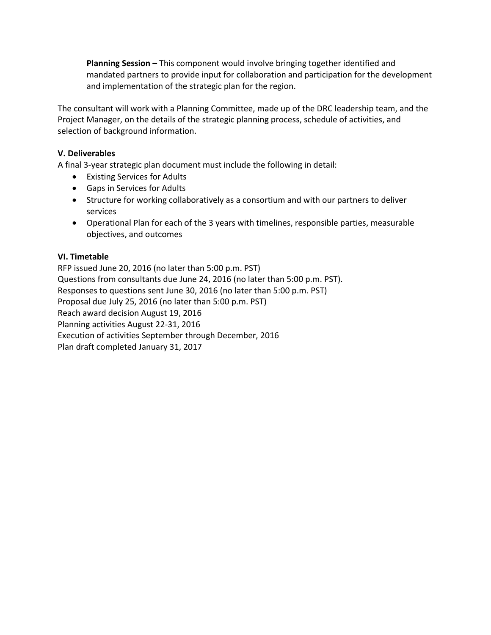**Planning Session –** This component would involve bringing together identified and mandated partners to provide input for collaboration and participation for the development and implementation of the strategic plan for the region.

The consultant will work with a Planning Committee, made up of the DRC leadership team, and the Project Manager, on the details of the strategic planning process, schedule of activities, and selection of background information.

## **V. Deliverables**

A final 3-year strategic plan document must include the following in detail:

- Existing Services for Adults
- Gaps in Services for Adults
- Structure for working collaboratively as a consortium and with our partners to deliver services
- Operational Plan for each of the 3 years with timelines, responsible parties, measurable objectives, and outcomes

## **VI. Timetable**

RFP issued June 20, 2016 (no later than 5:00 p.m. PST) Questions from consultants due June 24, 2016 (no later than 5:00 p.m. PST). Responses to questions sent June 30, 2016 (no later than 5:00 p.m. PST) Proposal due July 25, 2016 (no later than 5:00 p.m. PST) Reach award decision August 19, 2016 Planning activities August 22-31, 2016 Execution of activities September through December, 2016 Plan draft completed January 31, 2017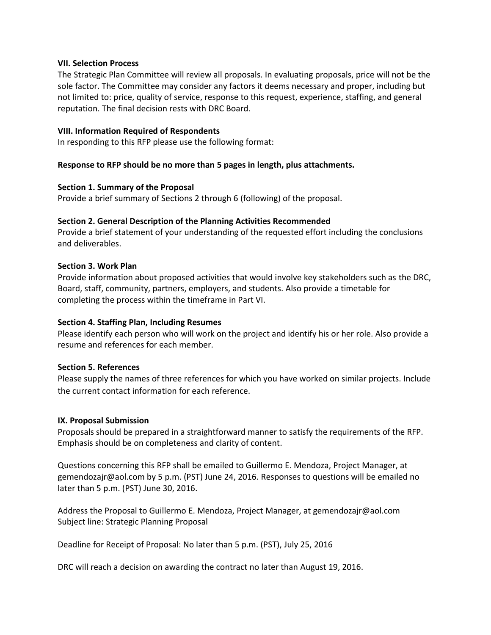#### **VII. Selection Process**

The Strategic Plan Committee will review all proposals. In evaluating proposals, price will not be the sole factor. The Committee may consider any factors it deems necessary and proper, including but not limited to: price, quality of service, response to this request, experience, staffing, and general reputation. The final decision rests with DRC Board.

#### **VIII. Information Required of Respondents**

In responding to this RFP please use the following format:

#### **Response to RFP should be no more than 5 pages in length, plus attachments.**

#### **Section 1. Summary of the Proposal**

Provide a brief summary of Sections 2 through 6 (following) of the proposal.

#### **Section 2. General Description of the Planning Activities Recommended**

Provide a brief statement of your understanding of the requested effort including the conclusions and deliverables.

#### **Section 3. Work Plan**

Provide information about proposed activities that would involve key stakeholders such as the DRC, Board, staff, community, partners, employers, and students. Also provide a timetable for completing the process within the timeframe in Part VI.

#### **Section 4. Staffing Plan, Including Resumes**

Please identify each person who will work on the project and identify his or her role. Also provide a resume and references for each member.

#### **Section 5. References**

Please supply the names of three references for which you have worked on similar projects. Include the current contact information for each reference.

#### **IX. Proposal Submission**

Proposals should be prepared in a straightforward manner to satisfy the requirements of the RFP. Emphasis should be on completeness and clarity of content.

Questions concerning this RFP shall be emailed to Guillermo E. Mendoza, Project Manager, at gemendozajr@aol.com by 5 p.m. (PST) June 24, 2016. Responses to questions will be emailed no later than 5 p.m. (PST) June 30, 2016.

Address the Proposal to Guillermo E. Mendoza, Project Manager, at gemendozajr@aol.com Subject line: Strategic Planning Proposal

Deadline for Receipt of Proposal: No later than 5 p.m. (PST), July 25, 2016

DRC will reach a decision on awarding the contract no later than August 19, 2016.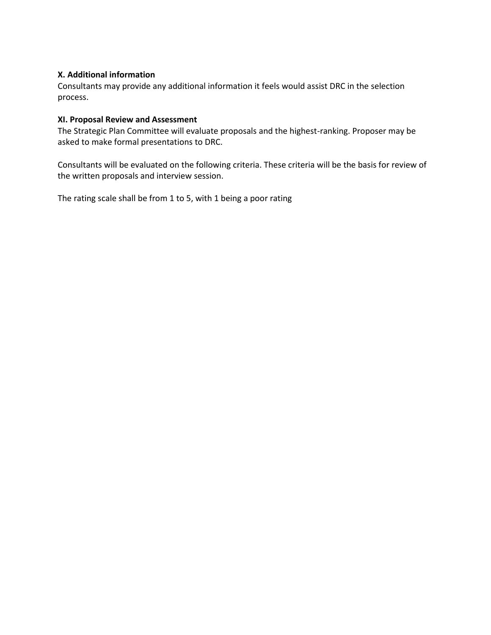## **X. Additional information**

Consultants may provide any additional information it feels would assist DRC in the selection process.

## **XI. Proposal Review and Assessment**

The Strategic Plan Committee will evaluate proposals and the highest-ranking. Proposer may be asked to make formal presentations to DRC.

Consultants will be evaluated on the following criteria. These criteria will be the basis for review of the written proposals and interview session.

The rating scale shall be from 1 to 5, with 1 being a poor rating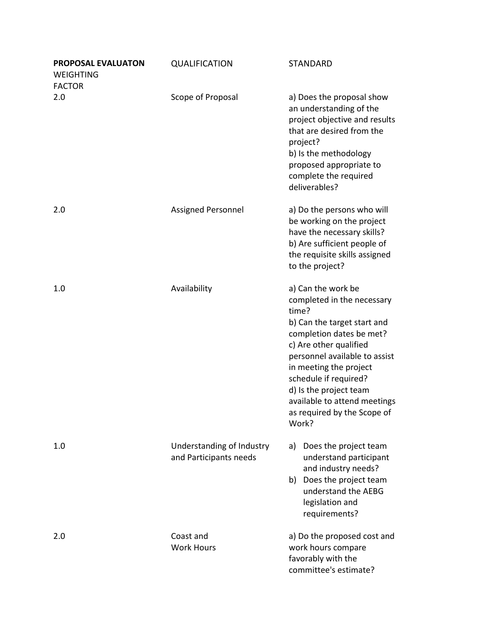| PROPOSAL EVALUATON<br><b>WEIGHTING</b><br><b>FACTOR</b> | <b>QUALIFICATION</b>                                | <b>STANDARD</b>                                                                                                                                                                                                                                                                                                                      |
|---------------------------------------------------------|-----------------------------------------------------|--------------------------------------------------------------------------------------------------------------------------------------------------------------------------------------------------------------------------------------------------------------------------------------------------------------------------------------|
| 2.0                                                     | Scope of Proposal                                   | a) Does the proposal show<br>an understanding of the<br>project objective and results<br>that are desired from the<br>project?<br>b) Is the methodology<br>proposed appropriate to<br>complete the required<br>deliverables?                                                                                                         |
| 2.0                                                     | Assigned Personnel                                  | a) Do the persons who will<br>be working on the project<br>have the necessary skills?<br>b) Are sufficient people of<br>the requisite skills assigned<br>to the project?                                                                                                                                                             |
| 1.0                                                     | Availability                                        | a) Can the work be<br>completed in the necessary<br>time?<br>b) Can the target start and<br>completion dates be met?<br>c) Are other qualified<br>personnel available to assist<br>in meeting the project<br>schedule if required?<br>d) Is the project team<br>available to attend meetings<br>as required by the Scope of<br>Work? |
| 1.0                                                     | Understanding of Industry<br>and Participants needs | a) Does the project team<br>understand participant<br>and industry needs?<br>b) Does the project team<br>understand the AEBG<br>legislation and<br>requirements?                                                                                                                                                                     |
| 2.0                                                     | Coast and<br><b>Work Hours</b>                      | a) Do the proposed cost and<br>work hours compare<br>favorably with the<br>committee's estimate?                                                                                                                                                                                                                                     |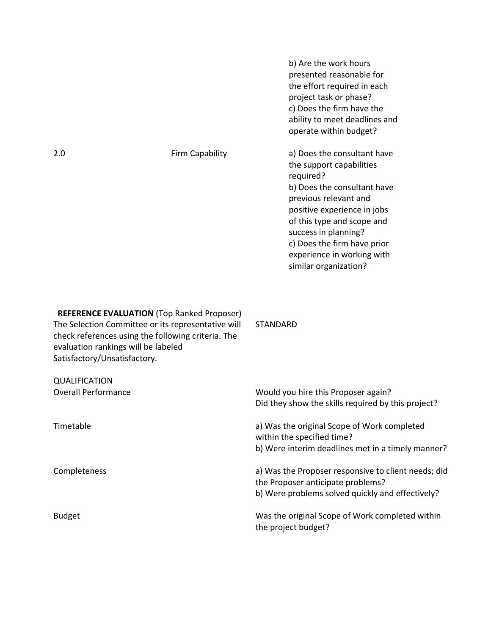|     |                 | b) Are the work hours<br>presented reasonable for<br>the effort required in each<br>project task or phase?<br>c) Does the firm have the<br>ability to meet deadlines and<br>operate within budget?                                                                                                      |
|-----|-----------------|---------------------------------------------------------------------------------------------------------------------------------------------------------------------------------------------------------------------------------------------------------------------------------------------------------|
| 2.0 | Firm Capability | a) Does the consultant have<br>the support capabilities<br>required?<br>b) Does the consultant have<br>previous relevant and<br>positive experience in jobs<br>of this type and scope and<br>success in planning?<br>c) Does the firm have prior<br>experience in working with<br>similar organization? |
|     |                 |                                                                                                                                                                                                                                                                                                         |

**REFERENCE EVALUATION** (Top Ranked Proposer) The Selection Committee or its representative will check references using the following criteria. The evaluation rankings will be labeled Satisfactory/Unsatisfactory. STANDARD

| <b>QUALIFICATION</b>       |                                                                                          |
|----------------------------|------------------------------------------------------------------------------------------|
| <b>Overall Performance</b> | Would you hire this Proposer again?                                                      |
|                            | Did they show the skills required by this project?                                       |
| Timetable                  | a) Was the original Scope of Work completed<br>within the specified time?                |
|                            | b) Were interim deadlines met in a timely manner?                                        |
| Completeness               | a) Was the Proposer responsive to client needs; did<br>the Proposer anticipate problems? |
|                            | b) Were problems solved quickly and effectively?                                         |
| <b>Budget</b>              | Was the original Scope of Work completed within<br>the project budget?                   |
|                            |                                                                                          |